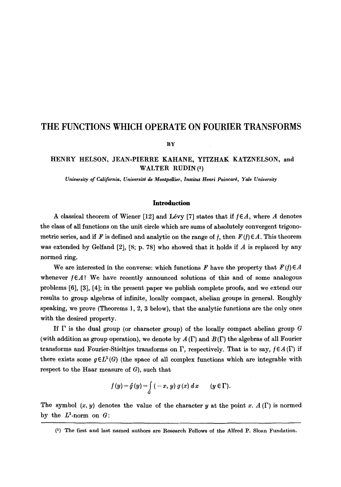# **THE FUNCTIONS WHICH OPERATE ON FOURIER TRANSFORMS**

**BY** 

# HENRY HELSON, JEAN-PIERRE KAHANE, YITZHAK KATZNELSON, **and**  WALTER RUDIN (1)

*University of California, Universit\$ de MontpeUier, Instltut Henri Poincar\$, Yale: University* 

## **Introduction**

A classical theorem of Wiener [12] and Lévy [7] states that if  $f \in A$ , where A denotes the class of all functions on the unit circle which are sums of absolutely convergent trigonometric series, and if F is defined and analytic on the range of f, then  $F(f) \in A$ . This theorem was extended by Gelfand  $[2]$ ,  $[8; p. 78]$  who showed that it holds if A is replaced by any normed ring.

We are interested in the converse: which functions F have the property that  $F(f) \in A$ whenever  $f \in A$ ? We have recently announced solutions of this and of some analogous problems [6], [3], [4]; in the present paper we publish complete proofs, and we extend our results to group algebras of infinite, locally compact, abelian groups in general. Roughly speaking, we prove (Theorems l, 2, 3 below), that the analytic functions are the only ones with the desired property.

If  $\Gamma$  is the dual group (or character group) of the locally compact abelian group  $G$ (with addition as group operation), we denote by  $A(\Gamma)$  and  $B(\Gamma)$  the algebras of all Fourier transforms and Fourier-Stieltjes transforms on  $\Gamma$ , respectively. That is to say,  $f \in A(\Gamma)$  if there exists some  $g \in L^1(G)$  (the space of all complex functions which are integrable with respect to the Haar measure of  $G$ ), such that

$$
f(y) = \hat{g}(y) = \int\limits_{G} (-x, y) g(x) dx \qquad (y \in \Gamma).
$$

The symbol  $(x, y)$  denotes the value of the character y at the point x.  $A(\Gamma)$  is normed by the  $L^1$ -norm on  $G$ :

<sup>(1)</sup> The first and last named authors are Research Fellows of the Alfred P. Sloan Fundation.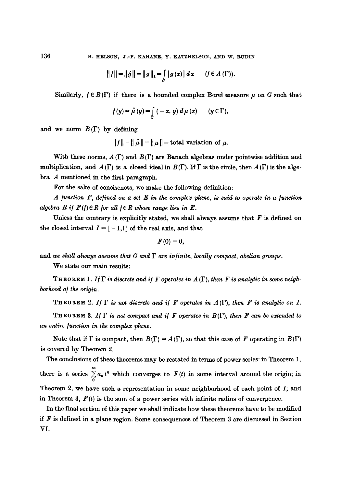136 H. HELSON, J.-P. KAHANE, Y. KATZNELSON, AND W. RUDIN

$$
|| f || = || \hat{g} || = || g ||_1 = \int_{G} | g(x) | dx
$$
  $(f \in A(\Gamma)).$ 

Similarly,  $f \in B(\Gamma)$  if there is a bounded complex Borel measure  $\mu$  on G such that

$$
f(y) = \hat{\mu}(y) = \int\limits_{G} (-x, y) d\mu(x) \qquad (y \in \Gamma),
$$

and we norm  $B(\Gamma)$  by defining

$$
||f|| = ||\hat{\mu}|| = ||\mu|| =
$$
total variation of  $\mu$ .

With these norms,  $A(\Gamma)$  and  $B(\Gamma)$  are Banach algebras under pointwise addition and multiplication, and  $A(\Gamma)$  is a closed ideal in  $B(\Gamma)$ . If  $\Gamma$  is the circle, then  $A(\Gamma)$  is the algebra A mentioned in the first paragraph.

For the sake of conciseness, we make the following definition:

 $A$  *function F, defined on a set E in the complex plane, is said to operate in a function algebra R if*  $F(f) \in R$  for all  $f \in R$  whose range lies in E.

Unless the contrary is explicitly stated, we shall always assume that  $F$  is defined on the closed interval  $I = [-1,1]$  of the real axis, and that

$$
F(0)=0,
$$

and we shall always assume that  $G$  and  $\Gamma$  are infinite, locally compact, abelian groups.

We state our main results:

THEOREM 1. If  $\Gamma$  is discrete and if F operates in  $A(\Gamma)$ , then F is analytic in some neigh*borhood o/ the origin.* 

**THEOREM** 2. If  $\Gamma$  is not discrete and if F operates in  $A(\Gamma)$ , then F is analytic on I.

**THEOREM** 3. If  $\Gamma$  is not compact and if F operates in  $B(\Gamma)$ , then F can be extended to *an entire function in the complex plane.* 

Note that if  $\Gamma$  is compact, then  $B(\Gamma) = A(\Gamma)$ , so that this case of F operating in  $B(\Gamma)$ is covered by Theorem 2.

The conclusions of these theorems may be restated in terms of power series: in Theorem 1, there is a series  $\sum_{n=0}^{\infty} a_n t^n$  which converges to  $F(t)$  in some interval around the origin; in Theorem 2, we have such a representation in some neighborhood of each point of  $I$ ; and in Theorem 3,  $F(t)$  is the sum of a power series with infinite radius of convergence.

In the final section of this paper we shall indicate how these theorems have to be modified if  $F$  is defined in a plane region. Some consequences of Theorem 3 are discussed in Section VI.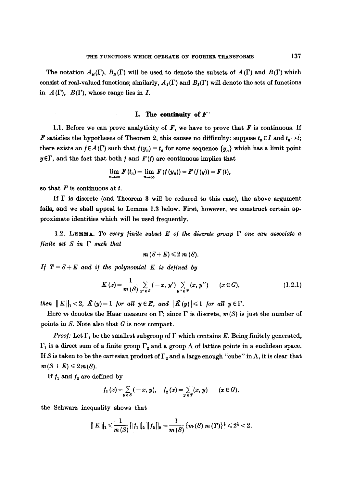The notation  $A_R(\Gamma)$ ,  $B_R(\Gamma)$  will be used to denote the subsets of  $A(\Gamma)$  and  $B(\Gamma)$  which consist of real-valued functions; similarly,  $A_I(\Gamma)$  and  $B_I(\Gamma)$  will denote the sets of functions in  $A(\Gamma)$ ,  $B(\Gamma)$ , whose range lies in I.

## **I. The continuity of F'**

1.1. Before we can prove analyticity of  $F$ , we have to prove that  $F$  is continuous. If F satisfies the hypotheses of Theorem 2, this causes no difficulty: suppose  $t_n \in I$  and  $t_n \rightarrow t$ ; there exists an  $f \in A(\Gamma)$  such that  $f(y_n) = t_n$  for some sequence  $\{y_n\}$  which has a limit point  $y \in \Gamma$ , and the fact that both f and  $F(f)$  are continuous implies that

$$
\lim_{n\to\infty}F(t_n)=\lim_{n\to\infty}F(f(y_n))=F(f(y))=F(t),
$$

so that  $F$  is continuous at  $t$ .

If  $\Gamma$  is discrete (and Theorem 3 will be reduced to this case), the above argument fails, and we shall appeal to Lemma 1.3 below. First, however, we construct certain approximate identities which will be used frequently.

1.2. LEMMA. To every finite subset E of the discrete group  $\Gamma$  one can associate a *finite set S in*  $\Gamma$  *such that* 

$$
m(S+E)\leq 2 m(S).
$$

*If*  $T = S + E$  and if the polynomial K is defined by

$$
K(x) = \frac{1}{m(S)} \sum_{y' \in S} (-x, y') \sum_{y'' \in T} (x, y'') \qquad (x \in G), \qquad (1.2.1)
$$

*then*  $||K||_1 < 2$ ,  $\hat{K}(y) = 1$  *for all*  $y \in E$ , *and*  $|\hat{K}(y)| \le 1$  *for all*  $y \in \Gamma$ .

Here *m* denotes the Haar measure on  $\Gamma$ ; since  $\Gamma$  is discrete,  $m(S)$  is just the number of points in  $S$ . Note also that  $G$  is now compact.

*Proof:* Let  $\Gamma_1$  be the smallest subgroup of  $\Gamma$  which contains E. Being finitely generated,  $\Gamma_1$  is a direct sum of a finite group  $\Gamma_2$  and a group  $\Lambda$  of lattice points in a euclidean space. If S is taken to be the cartesian product of  $\Gamma_{\alpha}$  and a large enough "cube" in  $\Lambda$ , it is clear that  $m(S + E) \leq 2m(S)$ .

If  $f_1$  and  $f_2$  are defined by

$$
f_1(x) = \sum_{y \in S} (-x, y), \quad f_2(x) = \sum_{y \in T} (x, y) \quad (x \in G),
$$

the Schwarz inequality shows that

$$
|| K ||_1 \leq \frac{1}{m(S)} || f_1 ||_2 || f_2 ||_2 = \frac{1}{m(S)} \{ m(S) m(T) \}^{\frac{1}{2}} \leq 2^{\frac{1}{2}} < 2.
$$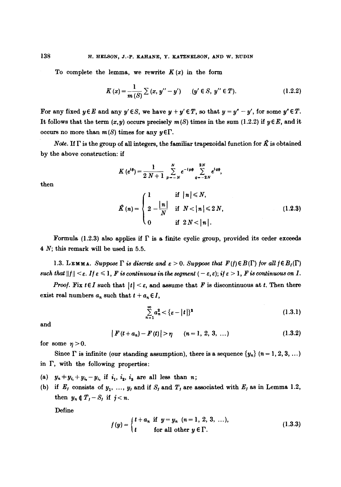To complete the lemma, we rewrite  $K(x)$  in the form

$$
K(x) = \frac{1}{m(S)} \sum (x, y'' - y') \qquad (y' \in S, y'' \in T).
$$
 (1.2.2)

For any fixed  $y \in E$  and any  $y' \in S$ , we have  $y + y' \in T$ , so that  $y = y'' - y'$ , for some  $y'' \in T$ . It follows that the term  $(x, y)$  occurs precisely  $m(S)$  times in the sum (1.2.2) if  $y \in E$ , and it occurs no more than  $m(S)$  times for any  $y \in \Gamma$ .

Note. If  $\Gamma$  is the group of all integers, the familiar trapezoidal function for  $\hat{K}$  is obtained by the above construction: if

$$
K(e^{i\theta}) = \frac{1}{2 N + 1} \sum_{p=-N}^{N} e^{-ip\theta} \sum_{q=-2N}^{2N} e^{i q\theta},
$$
  

$$
\hat{K}(n) = \begin{cases} 1 & \text{if } |n| \le N, \\ 2 - \frac{|n|}{N} & \text{if } N < |n| \le 2N, \\ 0 & \text{if } 2N < |n|. \end{cases}
$$
(1.2.3)

then

Formula (1.2.3) also applies if  $\Gamma$  is a finite cyclic group, provided its order exceeds 4 N; this remark will be used in 5.5.

1.3. LEMMA. *Suppose*  $\Gamma$  is discrete and  $\varepsilon > 0$ . *Suppose that*  $F(f) \in B(\Gamma)$  for all  $f \in B_I(\Gamma)$  $such~ that~$  $||f|| < \varepsilon$ . If  $\varepsilon \leq 1$ ,  $F$  is continuous in the segment ( $-\varepsilon$ ,  $\varepsilon$ ); if  $\varepsilon > 1$ ,  $F$  is continuous on I.

*Proof.* Fix  $t \in I$  such that  $|t| < \varepsilon$ , and assume that F is discontinuous at t. Then there exist real numbers  $a_n$  such that  $t + a_n \in I$ ,

$$
\sum_{n=1}^{\infty} a_n^2 < \{ \varepsilon - |t| \}^2 \tag{1.3.1}
$$

and

$$
|F(t+a_n)-F(t)| > \eta \qquad (n=1, 2, 3, ...)
$$
 (1.3.2)

for some  $\eta>0$ .

Since  $\Gamma$  is infinite (our standing assumption), there is a sequence  $\{y_n\}$   $(n = 1, 2, 3, ...)$ in  $\Gamma$ , with the following properties:

(a)  $y_n + y_{i_1} + y_{i_2} - y_{i_3}$  if  $i_1, i_2, i_3$  are all less than *n*;

(b) if  $E_j$  consists of  $y_1, ..., y_j$  and if  $S_j$  and  $T_j$  are associated with  $E_j$  as in Lemma 1.2, then  $y_n \notin T_j-S_j$  if  $j < n$ .

Define

$$
f(y) = \begin{cases} t + a_n & \text{if } y = y_n \ (n = 1, \ 2, \ 3, \ \ldots), \\ t & \text{for all other } y \in \Gamma. \end{cases}
$$
 (1.3.3)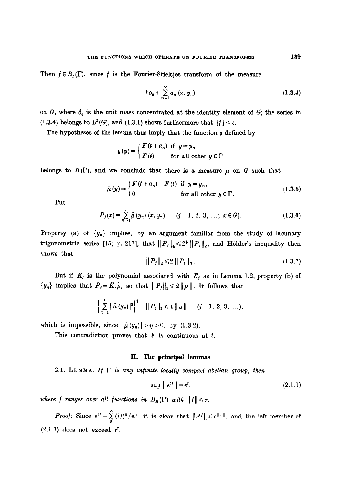Then  $f \in B_I(\Gamma)$ , since f is the Fourier-Stieltjes transform of the measure

$$
t\,\delta_0 + \sum_{n=1}^{\infty} a_n\,(x,\,y_n) \tag{1.3.4}
$$

on G, where  $\delta_0$  is the unit mass concentrated at the identity element of G; the series in (1.3.4) belongs to  $L^2(G)$ , and (1.3.1) shows furthermore that  $||f|| < \varepsilon$ .

The hypotheses of the lemma thus imply that the function  $g$  defined by

$$
g(y) = \begin{cases} F(t + a_n) & \text{if } y = y_n \\ F(t) & \text{for all other } y \in \Gamma \end{cases}
$$

belongs to  $B(\Gamma)$ , and we conclude that there is a measure  $\mu$  on G such that

$$
\hat{\mu}(y) = \begin{cases} F(t+a_n) - F(t) & \text{if } y = y_n, \\ 0 & \text{for all other } y \in \Gamma. \end{cases}
$$
\n(1.3.5)

Put

$$
P_j(x) = \sum_{n=1}^j \hat{\mu}(y_n) (x, y_n) \qquad (j = 1, 2, 3, \ldots; x \in G).
$$
 (1.3.6)

Property (a) of  $\{y_n\}$  implies, by an argument familiar from the study of lacunary trigonometric series [15; p. 217], that  $||P_j||_4 \leq 2^{\frac{1}{2}} ||P_j||_2$ , and Hölder's inequality then shows that

$$
||P_j||_2 \leq 2||P_j||_1. \tag{1.3.7}
$$

But if  $K_j$  is the polynomial associated with  $E_j$  as in Lemma 1.2, property (b) of  $\{y_n\}$  implies that  $\hat{P}_j = \hat{K}_j \hat{\mu}$ , so that  $\|P_j\|_1 \leq 2 \|\mu\|$ . It follows that

$$
\left\{\sum_{n=1}^j |\hat{\mu}(y_n)|^2\right\}^{\frac{1}{2}} = ||P_j||_2 \leq 4 ||\mu|| \qquad (j=1, 2, 3, ...).
$$

which is impossible, since  $|\hat{\mu}(y_n)| > \eta > 0$ , by (1.3.2).

This contradiction proves that  $F$  is continuous at  $t$ .

#### II. The principal lemmas

2.1. LEMMA. If  $\Gamma$  is any infinite locally compact abelian group, then

$$
\sup \|e^{tf}\| = e^r,\tag{2.1.1}
$$

*where f ranges over all functions in B<sub>R</sub>(* $\Gamma$ *) with*  $||f|| \leq r$ .

*Proof:* Since  $e^{i f} = \sum_{0}^{\infty} (i f)^{n} / n!$ , it is clear that  $||e^{i f}|| \le e^{|f||}$ , and the left member of  $(2.1.1)$  does not exceed  $e^r$ .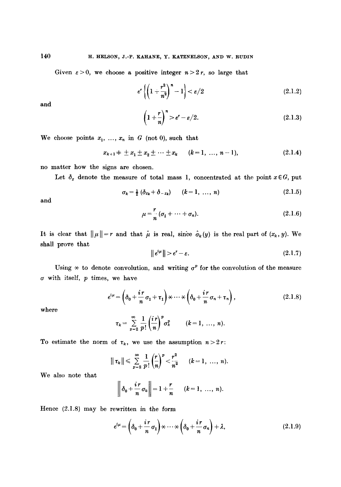Given  $\varepsilon > 0$ , we choose a positive integer  $n > 2r$ , so large that

$$
e^r\left\{\left(1+\frac{r^2}{n^2}\right)^n-1\right\}<\varepsilon/2\tag{2.1.2}
$$

and

$$
\left(1+\frac{r}{n}\right)^n > e^r - \varepsilon/2. \tag{2.1.3}
$$

We choose points  $x_1, \ldots, x_n$  in G (not 0), such that

$$
x_{k+1} \neq \pm x_1 \pm x_2 \pm \cdots \pm x_k \qquad (k=1, \ldots, n-1), \qquad (2.1.4)
$$

no matter how the signs are chosen.

Let  $\delta_x$  denote the measure of total mass 1, concentrated at the point  $x \in G$ , put

$$
\sigma_k = \frac{1}{2} (\delta_{z_k} + \delta_{-z_k}) \qquad (k = 1, \ \ldots, \ n)
$$
 (2.1.5)

and

$$
\mu = \frac{r}{n} (\sigma_1 + \dots + \sigma_n). \tag{2.1.6}
$$

It is clear that  $||\mu||=r$  and that  $\hat{\mu}$  is real, since  $\hat{\sigma}_k(y)$  is the real part of  $(x_k, y)$ . We shall prove that

$$
\|e^{i\mu}\| > e^r - \varepsilon. \tag{2.1.7}
$$

Using  $*$  to denote convolution, and writing  $\sigma^p$  for the convolution of the measure  $\sigma$  with itself,  $p$  times, we have

$$
e^{i\mu} = \left(\delta_0 + \frac{i\,r}{n}\,\sigma_1 + \tau_1\right) \times \cdots \times \left(\delta_0 + \frac{i\,r}{n}\,\sigma_n + \tau_n\right),\tag{2.1.8}
$$

where

$$
\tau_k = \sum_{p=2}^{\infty} \frac{1}{p!} \left(\frac{i r}{n}\right)^p \sigma_k^p \qquad (k=1, \ldots, n).
$$

To estimate the norm of  $\tau_k$ , we use the assumption  $n > 2r$ :

$$
|| \tau_k || \leq \sum_{p=2}^{\infty} \frac{1}{p!} \left( \frac{r}{n} \right)^p < \frac{r^2}{n^2}
$$
  $(k = 1, ..., n).$ 

We also note that

$$
\left\|\delta_0+\frac{i\,r}{n}\,\sigma_k\right\|=1+\frac{r}{n}\qquad (k=1,\ \ldots,\ n).
$$

Hence (2.1.8) may be rewritten in the form

$$
e^{i\mu} = \left(\delta_0 + \frac{i\,r}{n}\,\sigma_1\right) \times \cdots \times \left(\delta_0 + \frac{i\,r}{n}\,\sigma_n\right) + \lambda,\tag{2.1.9}
$$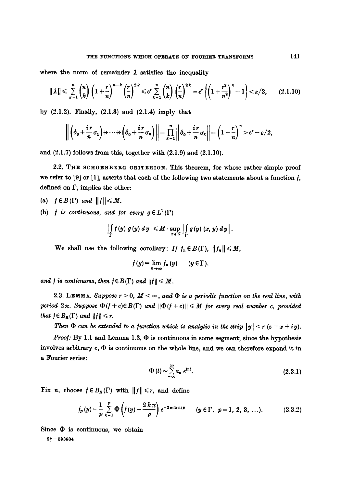where the norm of remainder  $\lambda$  satisfies the inequality

$$
\|\lambda\| \leqslant \sum_{k=1}^n \binom{n}{k} \left(1+\frac{r}{n}\right)^{n-k} \left(\frac{r}{n}\right)^{2k} \leqslant e^r \sum_{k=1}^n \binom{n}{k} \left(\frac{r}{n}\right)^{2k} = e^r \left\{\left(1+\frac{r^2}{n^2}\right)^n-1\right\} < \varepsilon/2, \qquad (2.1.10)
$$

by  $(2.1.2)$ . Finally,  $(2.1.3)$  and  $(2.1.4)$  imply that

$$
\left\|\left(\delta_0+\frac{ir}{n}\sigma_1\right)\times\cdots\times\left(\delta_0+\frac{ir}{n}\sigma_n\right)\right\|=\prod_{k=1}^n\left\|\delta_0+\frac{ir}{n}\sigma_k\right\|=\left(1+\frac{r}{n}\right)^n>e^r-\epsilon/2,
$$

and  $(2.1.7)$  follows from this, together with  $(2.1.9)$  and  $(2.1.10)$ .

2.2. THE SCHOENBERG CRITERION. This theorem, for whose rather simple proof we refer to  $[9]$  or  $[1]$ , asserts that each of the following two statements about a function  $f$ , defined on F, implies the other:

- (a)  $f \in B(\Gamma)$  and  $||f|| \leq M$ .
- (b) *f* is continuous, and for every  $g \in L^1(\Gamma)$

$$
\left|\int\limits_{\Gamma} f(y) g(y) dy\right| \leq M \cdot \sup\limits_{x \in G} \left|\int\limits_{\Gamma} g(y) (x, y) dy\right|.
$$

We shall use the following corollary: If  $f_n \in B(\Gamma)$ ,  $||f_n|| \le M$ ,

$$
f(y) = \lim_{n \to \infty} f_n(y) \qquad (y \in \Gamma),
$$

and f is continuous, then  $f \in B(\Gamma)$  and  $||f|| \leq M$ .

2.3. LEMMA. Suppose  $r > 0$ ,  $M < \infty$ , and  $\Phi$  is a periodic function on the real line, with *period 2*  $\pi$ *. Suppose*  $\Phi(f+c) \in B(\Gamma)$  and  $\|\Phi(f+c)\| \leq M$  *for every real number c, provided* that  $f \in B_R(\Gamma)$  and  $||f|| \leq r$ .

*Then*  $\Phi$  can be extended to a function which is analytic in the strip  $|y| < r$  ( $z = x + iy$ ).

*Proof:* By 1.1 and Lemma 1.3,  $\Phi$  is continuous in some segment; since the hypothesis involves arbitrary  $c, \Phi$  is continuous on the whole line, and we can therefore expand it in a Fourier series:

$$
\Phi(t) \sim \sum_{-\infty}^{\infty} a_n e^{int}.\tag{2.3.1}
$$

Fix *n*, choose  $f \in B_R(\Gamma)$  with  $||f|| \le r$ , and define

$$
f_p(y) = \frac{1}{p} \sum_{k=1}^p \Phi\left(f(y) + \frac{2 k \pi}{p}\right) e^{-2 \pi i k n/p} \qquad (y \in \Gamma, \ p = 1, 2, 3, \ldots). \tag{2.3.2}
$$

Since  $\Phi$  is continuous, we obtain

 $9 + -593804$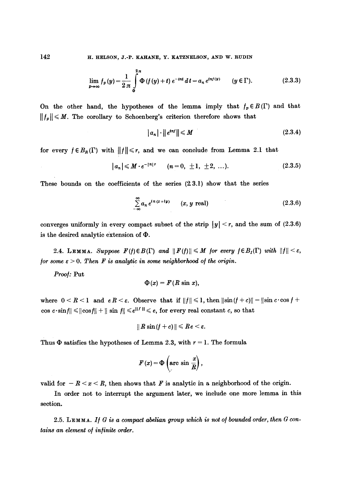142 H. HELSON, J.-P. KAHANE, Y. KATZNELSON, AND W. RUDIN

$$
\lim_{p \to \infty} f_p(y) = \frac{1}{2\pi} \int_{0}^{2\pi} \Phi(f(y) + t) e^{-int} dt = a_n e^{inf(y)} \qquad (y \in \Gamma). \tag{2.3.3}
$$

On the other hand, the hypotheses of the lemma imply that  $f_p \in B(\Gamma)$  and that  $||f_p|| \leq M$ . The corollary to Schoenberg's criterion therefore shows that

$$
|a_n| \cdot ||e^{i n t}|| \le M \tag{2.3.4}
$$

for every  $f \in B_R(\Gamma)$  with  $||f|| \le r$ , and we can conclude from Lemma 2.1 that

$$
|a_n| \leq M \cdot e^{-|n| \tau} \qquad (n = 0, \pm 1, \pm 2, \ldots). \tag{2.3.5}
$$

These bounds on the coefficients of the series (23.1) show that the series

$$
\sum_{-\infty}^{\infty} a_n e^{i n (x + i y)} \qquad (x, y \text{ real}) \qquad (2.3.6)
$$

converges uniformly in every compact subset of the strip  $|y| < r$ , and the sum of (2.3.6) is the desired analytic extension of  $\Phi$ .

2.4. LEMMA. *Suppose*  $F(f) \in B(\Gamma)$  and  $||F(f)|| \leq M$  for every  $f \in B_{I}(\Gamma)$  with  $||f|| \leq \varepsilon$ , */or some*  $\varepsilon > 0$ *. Then F is analytic in some neighborhood of the origin.* 

*Proo/: Put* 

$$
\Phi(x) = F(R \sin x),
$$

where  $0 < R < 1$  and  $eR < \varepsilon$ . Observe that if  $||f|| \le 1$ , then  $||\sin(f + c)|| = ||\sin c \cdot \cos f +$ cos  $c \cdot \sin f \le ||\cos f|| + || \sin f|| \le e^{\|f\|} \le e$ , for every real constant c, so that

$$
\|R\sin(f+c)\|\leqslant Re<\varepsilon.
$$

Thus  $\Phi$  satisfies the hypotheses of Lemma 2.3, with  $r = 1$ . The formula

$$
F(x) = \Phi\left(\arcsin \frac{x}{R}\right),\,
$$

valid for  $-R < x < R$ , then shows that F is analytic in a neighborhood of the origin.

In order not to interrupt the argument later, we include one more lemma in this section.

2.5. LEMMA. If  $G$  is a compact abelian group which is not of bounded order, then  $G$  con*taine an element o/ in/inite order.*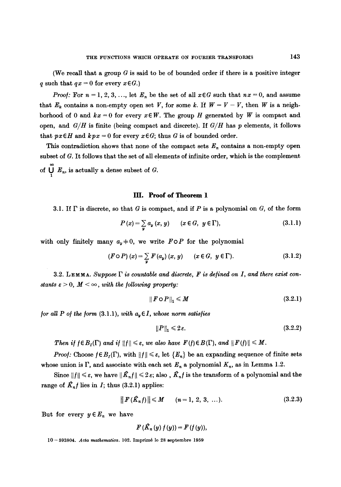(We recall that a group  $G$  is said to be of bounded order if there is a positive integer q such that  $qx = 0$  for every  $x \in G$ .)

*Proof:* For  $n = 1, 2, 3, \ldots$ , let  $E_n$  be the set of all  $x \in G$  such that  $nx = 0$ , and assume that  $E_k$  contains a non-empty open set V, for some k. If  $W = V - V$ , then W is a neighborhood of 0 and  $kx = 0$  for every  $x \in W$ . The group H generated by W is compact and open, and  $G/H$  is finite (being compact and discrete). If  $G/H$  has p elements, it follows that  $px\in H$  and  $kpx = 0$  for every  $x \in G$ ; thus G is of bounded order.

This contradiction shows that none of the compact sets  $E_n$  contains a non-empty open subset of G. It follows that the set of all elements of infinite order, which is the complement of  $\bigcup_{n} E_n$ , is actually a dense subset of G.

## **III. Proof of Theorem 1**

3.1. If  $\Gamma$  is discrete, so that G is compact, and if P is a polynomial on G, of the form

$$
P(x) = \sum_{y} a_y(x, y) \qquad (x \in G, y \in \Gamma), \tag{3.1.1}
$$

with only finitely many  $a_y \neq 0$ , we write  $F \circ P$  for the polynomial

$$
(F \circ P) (x) = \sum_{y} F(a_y) (x, y) \qquad (x \in G, y \in \Gamma).
$$
 (3.1.2)

3.2. LEMMA. Suppose  $\Gamma$  is countable and discrete,  $F$  is defined on I, and there exist con*stants*  $\varepsilon > 0$ *,*  $M < \infty$ *, with the following property:* 

$$
||\boldsymbol{F} \circ \boldsymbol{P}||_1 \leqslant M \tag{3.2.1}
$$

*for all P of the form* (3.1.1), *with*  $a<sub>v</sub> \in I$ , *whose norm satisfies* 

$$
||P||_1 \leq 2\varepsilon. \tag{3.2.2}
$$

*Then if*  $f \in B_I(\Gamma)$  *and if*  $||f|| \leq \varepsilon$ , we also have  $F(f) \in B(\Gamma)$ , and  $||F(f)|| \leq M$ .

*Proof:* Choose  $f \in B<sub>I</sub>(\Gamma)$ , with  $||f|| \le \varepsilon$ , let  $\{E_n\}$  be an expanding sequence of finite sets whose union is  $\Gamma$ , and associate with each set  $E_n$  a polynomial  $K_n$ , as in Lemma 1.2.

Since  $||f|| \leq \varepsilon$ , we have  $||\hat{K}_n f|| \leq 2 \varepsilon$ ; also,  $\hat{K}_n f$  is the transform of a polynomial and the range of  $K_n f$  lies in I; thus (3.2.1) applies:

$$
|| F(\hat{K}_n f) || \leq M \qquad (n = 1, 2, 3, ...).
$$
 (3.2.3)

But for every  $y \in E_n$  we have

$$
F\left(\mathcal{R}_n\left(y\right)f\left(y\right)\right)=F\left(f\left(y\right)\right),\,
$$

10-593804. *Acta mathematica.* 102. Imprimé lo 28 septembre 1959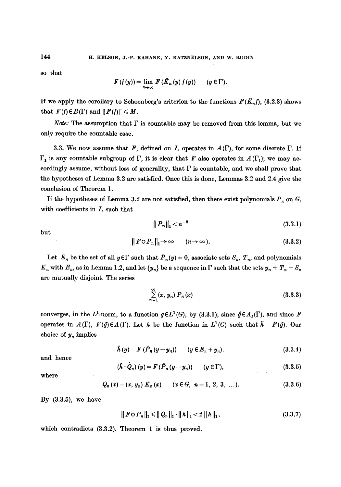so that

$$
F(f(y)) = \lim_{n \to \infty} F(\hat{K}_n(y) f(y)) \qquad (y \in \Gamma).
$$

If we apply the corollary to Schoenberg's criterion to the functions  $F(\hat{K}_n f)$ , (3.2.3) shows that  $F(f) \in B(\Gamma)$  and  $|| F(f) || \leq M$ .

*Note:* The assumption that  $\Gamma$  is countable may be removed from this lemma, but we only require the countable case.

3.3. We now assume that  $\mathbf{F}$ , defined on I, operates in  $A(\Gamma)$ , for some discrete  $\Gamma$ . If  $\Gamma_1$  is any countable subgroup of  $\Gamma$ , it is clear that F also operates in  $A(\Gamma_1)$ ; we may accordingly assume, without loss of generality, that  $\Gamma$  is countable, and we shall prove that the hypotheses of Lemma 3.2 are satisfied. Once this is done, Lemmas 3.2 and 2.4 give the conclusion of Theorem 1.

If the hypotheses of Lemma 3.2 are not satisfied, then there exist polynomials  $P_n$  on  $G$ , with coefficients in  $I$ , such that

$$
||P_n||_1 < n^{-2} \tag{3.3.1}
$$

but

$$
|| F \circ P_n ||_1 \to \infty \qquad (n \to \infty).
$$
 (3.3.2)

Let  $E_n$  be the set of all  $y \in \Gamma$  such that  $\hat{P}_n(y) = 0$ , associate sets  $S_n$ ,  $T_n$ , and polynomials  $K_n$  with  $E_n$ , as in Lemma 1.2, and let  $\{y_n\}$  be a sequence in  $\Gamma$  such that the sets  $y_n + T_n - S_n$ are mutually disjoint. The series

$$
\sum_{n=1}^{\infty} (x, y_n) P_n(x) \tag{3.3.3}
$$

converges, in the L<sup>1</sup>-norm, to a function  $g \in L^1(G)$ , by (3.3.1); since  $\hat{g} \in A_I(\Gamma)$ , and since F operates in  $A(\Gamma)$ ,  $F(\hat{g})\in A(\Gamma)$ . Let h be the function in  $L^1(G)$  such that  $\hat{h} = F(\hat{g})$ . Our choice of  $y_n$  implies

$$
\hat{h}(y) = F(\hat{P}_n(y - y_n)) \qquad (y \in E_n + y_n). \tag{3.3.4}
$$

and hence

$$
(\hat{h} \cdot \hat{Q}_n)(y) = F(\hat{P}_n(y - y_n)) \qquad (y \in \Gamma), \tag{3.3.5}
$$

where

$$
Q_n(x) = (x, y_n) K_n(x) \qquad (x \in G, \ n = 1, 2, 3, ...).
$$
 (3.3.6)

By  $(3.3.5)$ , we have

$$
\|F \circ P_n\|_1 \le \|Q_n\|_1 \cdot \|h\|_1 < 2 \|h\|_1,\tag{3.3.7}
$$

which contradicts (3.3.2). Theorem 1 is thus proved.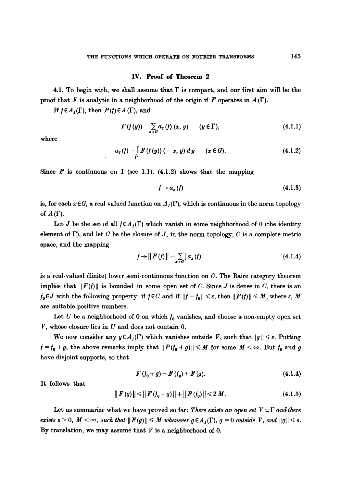#### **IV. Proof of Theorem 2**

4.1. To begin with, we shall assume that  $\Gamma$  is compact, and our first aim will be the proof that F is analytic in a neighborhood of the origin if F operates in  $A(\Gamma)$ .

If  $f \in A_I(\Gamma)$ , then  $F(f) \in A(\Gamma)$ , and

$$
F(f(y)) = \sum_{x \in G} a_x(f)(x, y) \qquad (y \in \Gamma), \qquad (4.1.1)
$$

where

$$
a_x(f) = \int_{\Gamma} F(f(y)) (-x, y) dy \qquad (x \in G).
$$
 (4.1.2)

Since  $\vec{F}$  is continuous on I (see 1.1), (4.1.2) shows that the mapping

$$
f \rightarrow a_x(f) \tag{4.1.3}
$$

is, for each  $x \in G$ , a real valued function on  $A_I(\Gamma)$ , which is continuous in the norm topology of  $A(\Gamma)$ .

Let J be the set of all  $f \in A_I(\Gamma)$  which vanish in some neighborhood of 0 (the identity element of  $\Gamma$ ), and let C be the closure of J, in the norm topology; C is a complete metric space, and the mapping

$$
f \rightarrow ||F(f)|| = \sum_{x \in G} |a_x(f)| \tag{4.1.4}
$$

is a real-valued (finite) lower semi-continuous function on  $C$ . The Baire category theorem implies that  $||F(f)||$  is bounded in some open set of C. Since J is dense in C, there is an  $f_0 \in J$  with the following property: if  $f \in C$  and if  $||f - f_0|| \leq \varepsilon$ , then  $||F(f)|| \leq M$ , where  $\varepsilon$ , M are suitable positive numbers.

Let U be a neighborhood of 0 on which  $f_0$  vanishes, and choose a non-empty open set  $V$ , whose closure lies in  $U$  and does not contain 0.

We now consider any  $g \in A_I(\Gamma)$  which vanishes outside V, such that  $||g|| \leq \varepsilon$ . Putting  $f = f_0 + g$ , the above remarks imply that  $||F(f_0 + g)|| \leq M$  for some  $M < \infty$ . But  $f_0$  and g have disjoint supports, so that

$$
F(f_0+g)=F(f_0)+F(g). \qquad (4.1.4)
$$

It follows that

$$
|| F (g) || \le || F (f_0 + g) || + || F (f_0) || \le 2 M. \tag{4.1.5}
$$

Let us summarize what we have proved so far: *There exists an open set*  $V \subset \Gamma$  *and there exists*  $\varepsilon > 0$ *,*  $M < \infty$ *, such that*  $||F(g)|| \leq M$  whenever  $g \in A_I(\Gamma)$ ,  $g = 0$  outside V, and  $||g|| \leq \varepsilon$ . By translation, we may assume that  $V$  is a neighborhood of 0.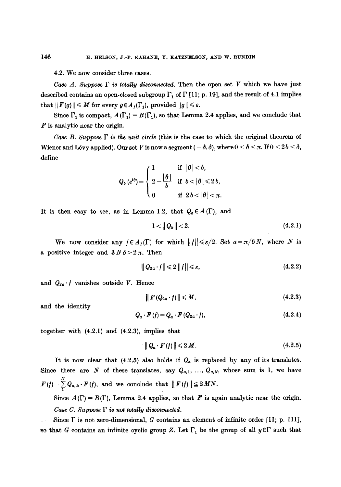4.2. We now consider three cases.

*Case A. Suppose*  $\Gamma$  *is totally disconnected.* Then the open set V which we have just described contains an open-closed subgroup  $\Gamma_1$  of  $\Gamma$  [11; p. 19], and the result of 4.1 implies that  $|| F(g)|| \leq M$  for every  $g \in A_I(\Gamma_1)$ , provided  $|| g || \leq \varepsilon$ .

Since  $\Gamma_1$  is compact,  $A(\Gamma_1) = B(\Gamma_1)$ , so that Lemma 2.4 applies, and we conclude that  $\boldsymbol{F}$  is analytic near the origin.

*Case B. Suppose*  $\Gamma$  *is the unit circle* (this is the case to which the original theorem of Wiener and Lévy applied). Our set V is now a segment ( $-\delta$ ,  $\delta$ ), where  $0 < \delta < \pi$ . If  $0 < 2b < \delta$ , define

$$
Q_b\left(e^{i\theta}\right) = \begin{cases} 1 & \text{if } |\theta| < b, \\ 2 - \frac{|\theta|}{b} & \text{if } b < |\theta| \leq 2b, \\ 0 & \text{if } 2b < |\theta| < \pi. \end{cases}
$$

It is then easy to see, as in Lemma 1.2, that  $Q_b \in A(\Gamma)$ , and

$$
1 < ||Q_b|| < 2. \tag{4.2.1}
$$

We now consider any  $f \in A_I(\Gamma)$  for which  $||f|| \le \varepsilon/2$ . Set  $a = \pi/6 N$ , where N is a positive integer and  $3 N \delta > 2 \pi$ . Then

$$
||Q_{2a} \cdot f|| \leq 2||f|| \leq \varepsilon, \tag{4.2.2}
$$

and  $Q_{2a} \cdot f$  vanishes outside V. Hence

$$
\|F(Q_{2a}\cdot f)\| \leqslant M,\tag{4.2.3}
$$

and the identity

$$
Q_a \cdot F(f) = Q_a \cdot F(Q_{2a} \cdot f), \qquad (4.2.4)
$$

together with (4.2.1) and (4.2.3), implies that

$$
\|Q_a \cdot F(f)\| \leqslant 2 M. \tag{4.2.5}
$$

It is now clear that  $(4.2.5)$  also holds if  $Q_a$  is replaced by any of its translates. Since there are N of these translates, say  $Q_{a,1}, \ldots, Q_{a,N}$ , whose sum is 1, we have N  $F(f) = \sum_{i} Q_{a,k} \cdot F'(f)$ , and we conclude that  $|| F'(f) || \le 2MN$ .

Since  $A(\Gamma) = B(\Gamma)$ , Lemma 2.4 applies, so that F is again analytic near the origin. *Case C. Suppose F is not totally disconnected.* 

Since  $\Gamma$  is not zero-dimensional, G contains an element of infinite order [11; p. 111], so that G contains an infinite cyclic group Z. Let  $\Gamma_1$  be the group of all  $y \in \Gamma$  such that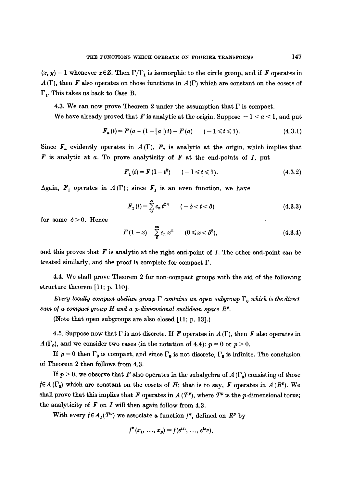$(x, y) = 1$  whenever  $x \in \mathbb{Z}$ . Then  $\Gamma/\Gamma_1$  is isomorphic to the circle group, and if F operates in  $A(\Gamma)$ , then F also operates on those functions in  $A(\Gamma)$  which are constant on the cosets of  $\Gamma_1$ . This takes us back to Case B.

4.3. We can now prove Theorem 2 under the assumption that  $\Gamma$  is compact.

We have already proved that F is analytic at the origin. Suppose  $-1 < a < 1$ , and put

$$
F_a(t) = F(a + (1 - |a|) t) - F(a) \qquad (-1 \le t \le 1). \tag{4.3.1}
$$

Since  $F_a$  evidently operates in  $A(\Gamma)$ ,  $F_a$  is analytic at the origin, which implies that F is analytic at a. To prove analyticity of F at the end-points of *I,* put

$$
F_1(t) = F(1 - t^2) \qquad (-1 \leq t \leq 1). \tag{4.3.2}
$$

Again,  $F_1$  operates in  $A(\Gamma)$ ; since  $F_1$  is an even function, we have

$$
F_1(t) = \sum_{0}^{\infty} c_n t^{2n} \qquad (-\delta < t < \delta)
$$
 (4.3.3)

for some  $\delta > 0$ . Hence

$$
F(1-x) = \sum_{0}^{\infty} c_n x^n \qquad (0 \leq x < \delta^2), \qquad (4.3.4)
$$

and this proves that  $F$  is analytic at the right end-point of  $I$ . The other end-point can be treated similarly, and the proof is complete for compact F.

4.4. We shall prove Theorem 2 for non-compact groups with the aid of the following structure theorem [11; p. 110].

*Every locally compact abelian group*  $\Gamma$  *contains an open subgroup*  $\Gamma_0$  *which is the direct sum of a compact group H and a p-dimensional euclidean space*  $R<sup>p</sup>$ .

(Note that open subgroups are also closed [11; p. 13].)

4.5. Suppose now that  $\Gamma$  is not discrete. If F operates in  $A(\Gamma)$ , then F also operates in  $A(\Gamma_0)$ , and we consider two cases (in the notation of 4.4):  $p=0$  or  $p>0$ .

If  $p = 0$  then  $\Gamma_0$  is compact, and since  $\Gamma_0$  is not discrete,  $\Gamma_0$  is infinite. The conclusion Of Theorem 2 then follows from 4.3.

If  $p > 0$ , we observe that F also operates in the subalgebra of  $A(\Gamma_0)$  consisting of those  $f \in A(\Gamma_0)$  which are constant on the cosets of H; that is to say, F operates in  $A(R^p)$ . We shall prove that this implies that F operates in  $A(T^p)$ , where  $T^p$  is the p-dimensional torus; the analyticity of  $F$  on  $I$  will then again follow from 4.3.

With every  $f \in A_I(T^p)$  we associate a function  $f^*$ , defined on  $R^p$  by

$$
f^*(x_1, \ldots, x_p) = f(e^{ix_1}, \ldots, e^{ix_p}),
$$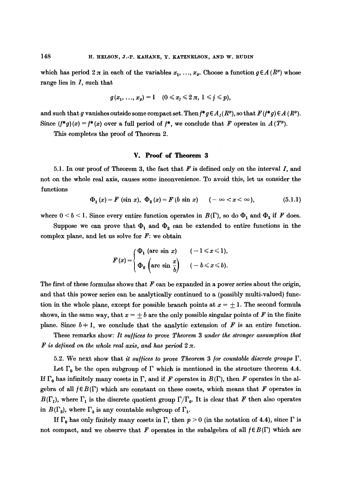which has period  $2 \pi$  in each of the variables  $x_1, \ldots, x_n$ . Choose a function  $g \in A(R^p)$  whose range lies in  $I$ , such that

$$
g(x_1, \ldots, x_p) = 1 \quad (0 \leq x_j \leq 2 \pi, \ 1 \leq j \leq p),
$$

and such that g vanishes outside some compact set. Then  $f^*g \in A_I(R^p)$ , so that  $F(f^*g) \in A(R^p)$ . Since  $(f^*g)(x) = f^*(x)$  over a full period of  $f^*$ , we conclude that F operates in  $A(T^p)$ .

This completes the proof of Theorem 2.

# **V. Proof of Theorem 3**

5.1. In our proof of Theorem 3, the fact that  $F$  is defined only on the interval  $I$ , and not on the whole real axis, causes some inconvenience. To avoid this, let us consider the functions

$$
\Phi_1(x) = F(\sin x), \ \Phi_2(x) = F(b \sin x) \quad (-\infty < x < \infty), \tag{5.1.1}
$$

where  $0 < b < 1$ . Since every entire function operates in  $B(\Gamma)$ , so do  $\Phi_1$  and  $\Phi_2$  if F does.

Suppose we can prove that  $\Phi_1$  and  $\Phi_2$  can be extended to entire functions in the complex plane, and let us solve for  $F$ : we obtain

$$
F(x) = \begin{cases} \Phi_1 \text{ (arc sin } x) & (-1 \leq x \leq 1), \\ \Phi_2 \text{ (arc sin } \frac{x}{b}) & (-b \leq x \leq b). \end{cases}
$$

The first of these formulas shows that  $F$  can be expanded in a power series about the origin, and that this power series can be analytically continued to a (possibly multi-valued) function in the whole plane, except for possible branch points at  $x = +1$ . The second formula shows, in the same way, that  $x = \pm b$  are the only possible singular points of F in the finite plane. Since  $b \neq 1$ , we conclude that the analytic extension of F is an entire function.

These remarks show: It suffices to prove Theorem 3 under the stronger assumption that  $F$  is defined on the whole real axis, and has period  $2 \pi$ .

5.2. We next show that *it suffices to prove Theorem 3 for countable discrete groups*  $\Gamma$ .

Let  $\Gamma_0$  be the open subgroup of  $\Gamma$  which is mentioned in the structure theorem 4.4. If  $\Gamma_0$  has infinitely many cosets in  $\Gamma$ , and if F operates in  $B(\Gamma)$ , then F operates in the algebra of all  $f \in B(\Gamma)$  which are constant on these cosets, which means that F operates in  $B(\Gamma_1)$ , where  $\Gamma_1$  is the discrete quotient group  $\Gamma/\Gamma_0$ . It is clear that F then also operates in  $B(\Gamma_2)$ , where  $\Gamma_2$  is any countable subgroup of  $\Gamma_1$ .

If  $\Gamma_0$  has only finitely many cosets in  $\Gamma$ , then  $p > 0$  (in the notation of 4.4), since  $\Gamma$  is not compact, and we observe that F operates in the subalgebra of all  $f \in B(\Gamma)$  which are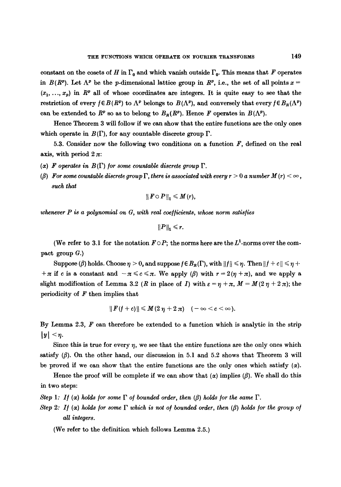constant on the cosets of H in  $\Gamma_0$  and which vanish outside  $\Gamma_0$ . This means that F operates in *B(RP).* Let  $\Lambda^p$  be the *p*-dimensional lattice group in  $R^p$ , i.e., the set of all points  $x =$  $(x_1, \ldots, x_n)$  in  $\mathbb{R}^p$  all of whose coordinates are integers. It is quite easy to see that the restriction of every  $f \in B(R^p)$  to  $\Lambda^p$  belongs to  $B(\Lambda^p)$ , and conversely that every  $f \in B_R(\Lambda^p)$ can be extended to  $R^p$  so as to belong to  $B_R(R^p)$ . Hence F operates in  $B(\Lambda^p)$ .

Hence Theorem 3 will follow if we can show that the entire functions are the only ones which operate in  $B(\Gamma)$ , for any countable discrete group  $\Gamma$ .

5.3. Consider now the following two conditions on a function  $F$ , defined on the real axis, with period  $2 \pi$ :

- ( $\alpha$ ) **F** operates in  $B(\Gamma)$  for some countable discrete group  $\Gamma$ .
- ( $\beta$ ) For some countable discrete group  $\Gamma$ , there is associated with every  $r > 0$  a number  $M(r) < \infty$ , *such that*

$$
|| F \circ P ||_1 \leq M(r),
$$

*whenever P is a polynomial on G, with real coefficients, whose norm satisfies* 

$$
||P||_1 \leq r.
$$

(We refer to 3.1 for the notation  $F \circ P$ ; the norms here are the  $L^1$ -norms over the compact group  $G.$ 

Suppose ( $\beta$ ) holds. Choose  $\eta > 0$ , and suppose  $f \in B_R(\Gamma)$ , with  $||f|| \leq \eta$ . Then  $||f + c|| \leq \eta + 1$ + $\pi$  if c is a constant and  $-\pi \leq c \leq \pi$ . We apply ( $\beta$ ) with  $r = 2(\eta + \pi)$ , and we apply a slight modification of Lemma 3.2 (R in place of I) with  $\varepsilon = \eta + \pi$ ,  $M = M(2 \eta + 2 \pi)$ ; the periodicity of  $F$  then implies that

$$
||F(f+c)|| \leq M(2\eta+2\pi) \quad (-\infty < c < \infty).
$$

By Lemma 2.3,  $F$  can therefore be extended to a function which is analytic in the strip  $|y| < \eta$ .

Since this is true for every  $\eta$ , we see that the entire functions are the only ones which satisfy  $(\beta)$ . On the other hand, our discussion in 5.1 and 5.2 shows that Theorem 3 will be proved if we can show that the entire functions are the only ones which satisfy  $(\alpha)$ .

Hence the proof will be complete if we can show that  $(\alpha)$  implies ( $\beta$ ). We shall do this in two steps:

*Step 1: If (* $\alpha$ *) holds for some*  $\Gamma$  *of bounded order, then (* $\beta$ *) holds for the same*  $\Gamma$ *.* 

*Step 2: If (* $\alpha$ *) holds for some*  $\Gamma$  which is not of bounded order, then ( $\beta$ ) holds for the group of *all integers.* 

(We refer to the definition which follows Lemma 2.5.)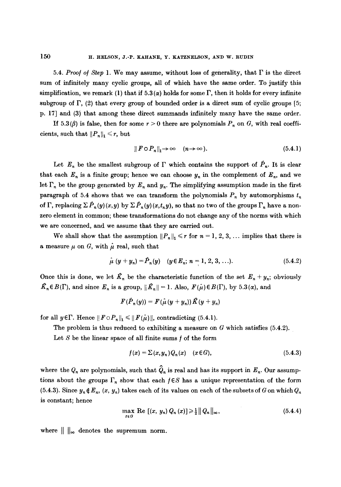5.4. *Proof of Step 1*. We may assume, without loss of generality, that  $\Gamma$  is the direct sum of infinitely many cyclic groups, all of which have the same order. To justify this simplification, we remark (1) that if  $5.3(\alpha)$  holds for some  $\Gamma$ , then it holds for every infinite subgroup of  $\Gamma$ , (2) that every group of bounded order is a direct sum of cyclic groups [5; p. 17] and (3) that among these direct summands infinitely many have the same order.

If 5.3( $\beta$ ) is false, then for some  $r > 0$  there are polynomials  $P_n$  on G, with real coefficients, such that  $||P_n||_1 \leq r$ , but

$$
|| F \circ P_n ||_1 \to \infty \quad (n \to \infty).
$$
 (5.4.1)

Let  $E_n$  be the smallest subgroup of  $\Gamma$  which contains the support of  $\hat{P}_n$ . It is clear that each  $E_n$  is a finite group; hence we can choose  $y_n$  in the complement of  $E_n$ , and we let  $\Gamma_n$  be the group generated by  $E_n$  and  $y_n$ . The simplifying assumption made in the first paragraph of 5.4 shows that we can transform the polynomials  $P_n$  by automorphisms  $t_n$ of  $\Gamma$ , replacing  $\sum \hat{P}_n(y)(x, y)$  by  $\sum \hat{P}_n(y)(x, t_n y)$ , so that no two of the groups  $\Gamma_n$  have a nonzero element in common; these transformations do not change any of the norms with which we are concerned, and we assume that they are carried out.

We shall show that the assumption  $||P_n||_1 \le r$  for  $n = 1, 2, 3, \ldots$  implies that there is a measure  $\mu$  on G, with  $\mu$  real, such that

$$
\hat{\mu} (y + y_n) = \hat{P}_n(y) \quad (y \in E_n, n = 1, 2, 3, ...). \tag{5.4.2}
$$

Once this is done, we let  $\mathcal{K}_n$  be the characteristic function of the set  $E_n + y_n$ ; obviously  $\hat{K}_n \in B(\Gamma)$ , and since  $E_n$  is a group,  $\|\hat{K}_n\| = 1$ . Also,  $F(\hat{\mu}) \in B(\Gamma)$ , by 5.3( $\alpha$ ), and

$$
F(\hat{P}_n(y)) = F(\hat{\mu}(y+y_n)) \hat{K}(y+y_n)
$$

for all  $y \in \Gamma$ . Hence  $||F \circ P_n||_1 \le ||F(\hat{\mu})||$ , contradicting (5.4.1).

The problem is thus reduced to exhibiting a measure on  $G$  which satisfies (5.4.2).

Let  $S$  be the linear space of all finite sums  $f$  of the form

$$
f(x) = \sum (x, y_n) Q_n(x) \quad (x \in G), \tag{5.4.3}
$$

where the  $Q_n$  are polynomials, such that  $\hat{Q}_n$  is real and has its support in  $E_n$ . Our assumptions about the groups  $\Gamma_n$  show that each  $f \in S$  has a unique representation of the form (5.4.3). Since  $y_n \notin E_n$ ,  $(x, y_n)$  takes each of its values on each of the subsets of G on which  $Q_n$ is constant; hence

$$
\max_{x \in G} \operatorname{Re} \left[ (x, y_n) Q_n(x) \right] \geq \frac{1}{2} ||Q_n||_{\infty}, \tag{5.4.4}
$$

where  $\|\cdot\|_{\infty}$  denotes the supremum norm.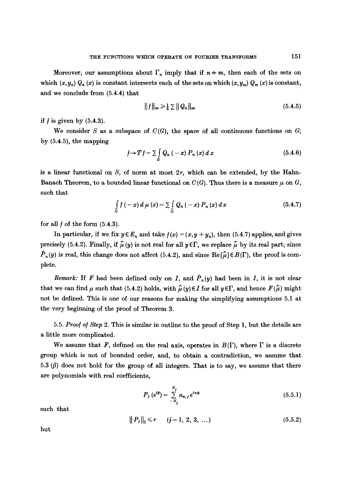Moreover, our assumptions about  $\Gamma_n$  imply that if  $n \neq m$ , then each of the sets on which  $(x, y_n)$   $Q_n(x)$  is constant intersects each of the sets on which  $(x, y_m)$   $Q_m(x)$  is constant, and we conclude from (5.4.4) that

$$
||f||_{\infty} \geq \frac{1}{2} \sum ||Q_n||_{\infty} \tag{5.4.5}
$$

if  $f$  is given by  $(5.4.3)$ .

We consider S as a subspace of  $C(G)$ , the space of all continuous functions on G; by (5.4.5), the mapping

$$
f \rightarrow T f = \sum_{a} Q_{n} (-x) P_{n}(x) dx \qquad (5.4.6)
$$

is a linear functional on  $S$ , of norm at most  $2r$ , which can be extended, by the Hahn-Banach Theorem, to a bounded linear functional on  $C(G)$ . Thus there is a measure  $\mu$  on G, such that

$$
\int_{G} f(-x) d \mu(x) = \sum_{G} Q_n(-x) P_n(x) dx
$$
\n(5.4.7)

for all  $f$  of the form  $(5.4.3)$ .

In particular, if we fix  $y \in E_n$  and take  $f(x) = (x, y + y_n)$ , then (5.4.7) applies, and gives precisely (5.4.2). Finally, if  $\hat{\mu}(y)$  is not real for all  $y \in \Gamma$ , we replace  $\hat{\mu}$  by its real part; since  $\hat{P}_n(y)$  is real, this change does not affect (5.4.2), and since  $\text{Re}[\hat{\mu}] \in B(\Gamma)$ , the proof is complete.

*Remark:* If F had been defined only on I, and  $\hat{P}_n(y)$  had been in I, it is not clear that we can find  $\mu$  such that (5.4.2) holds, with  $\hat{\mu}(y) \in I$  for all  $y \in \Gamma$ , and hence  $F(\hat{\mu})$  might not be defined. This is one of our reasons for making the simplifying assumptions 5.1 at the very beginning of the proof of Theorem 3.

5.5. *Proo/ o/ Step* 2. This is similar in outline to the proof of Step 1, but the details are a little more complicated.

We assume that F, defined on the real axis, operates in  $B(\Gamma)$ , where  $\Gamma$  is a discrete group which is not of bounded order, and, to obtain a contradiction, we assume that 5.3  $(\beta)$  does not hold for the group of all integers. That is to say, we assume that there are polynomials with real coefficients,

$$
P_{j} (e^{i\theta}) = \sum_{-N_{j}}^{N_{j}} a_{n,j} e^{in\theta}
$$
 (5.5.1)

such that

$$
||P_j||_1 \leq r \qquad (j=1, 2, 3, ...)
$$
\n(5.5.2)

but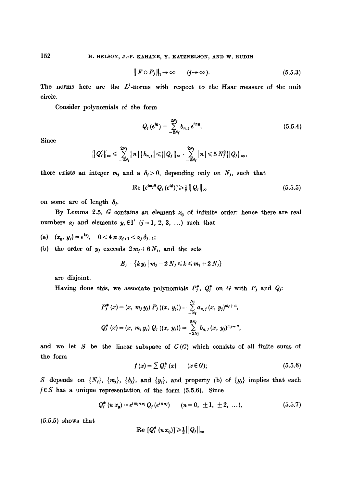$$
\|F \circ P_j\|_1 \to \infty \qquad (j \to \infty).
$$
 (5.5.3)

The norms here are the  $L^1$ -norms with respect to the Haar measure of the unit circle.

Consider polynomials of the form

$$
Q_j(e^{i\theta}) = \sum_{-2N_j}^{2N_j} b_{n,j} e^{in\theta}.
$$
 (5.5.4)

Since

$$
||Q'_j||_{\infty} \leqslant \sum_{-2N_j}^{2N_j} |n| |b_{n,j}| \leqslant ||Q_j||_{\infty} \cdot \sum_{-2N_j}^{2N_j} |n| \leqslant 5 N_j^2 ||Q_j||_{\infty},
$$

there exists an integer  $m_j$  and a  $\delta_j > 0$ , depending only on  $N_j$ , such that

$$
\operatorname{Re}\left[e^{im_{j}\theta}Q_{j}\left(e^{i\theta}\right)\right]\geqslant\frac{1}{2}\left\Vert Q_{j}\right\Vert _{\infty}\tag{5.5.5}
$$

on some arc of length  $\delta_i$ .

By Lemma 2.5, G contains an element  $x<sub>0</sub>$  of infinite order; hence there are real numbers  $\alpha_j$  and elements  $y_j \in \Gamma$  (j = 1, 2, 3, ...) such that

- (a)  $(x_0, y_j) = e^{i\alpha_j}$ ,  $0 < 4 \pi \alpha_{j+1} < \alpha_j \delta_{j+1}$ ;
- (b) the order of  $y_j$  exceeds  $2m_j + 6N_j$ , and the sets

$$
E_j = \{k y_j \mid m_j - 2 N_j \leqslant k \leqslant m_j + 2 N_j\}
$$

are disjoint.

Having done this, we associate polynomials  $P_j^*$ ,  $Q_j^*$  on G with  $P_j$  and  $Q_j$ :

$$
P_{j}^{*}(x) = (x, m_{j} y_{j}) P_{j} ((x, y_{j})) = \sum_{-N_{j}}^{N_{j}} a_{n, j} (x, y_{j})^{m_{j}+n},
$$
  

$$
Q_{j}^{*}(x) = (x, m_{j} y_{j}) Q_{j} ((x, y_{j})) = \sum_{-2N_{j}}^{2N_{j}} b_{n, j} (x, y_{j})^{m_{j}+n},
$$

and we let S be the linear subspace of  $C(G)$  which consists of all finite sums of the form

$$
f(x) = \sum Q_j^*(x) \qquad (x \in G); \qquad (5.5.6)
$$

S depends on  $\{N_j\}$ ,  $\{m_j\}$ ,  $\{\delta_j\}$ , and  $\{y_j\}$ , and property (b) of  $\{y_j\}$  implies that each  $f \in S$  has a unique representation of the form (5.5.6). Since

$$
Q_f^*(n x_0) = e^{i m_j n \alpha} Q_f(e^{i n \alpha}) \qquad (n = 0, \pm 1, \pm 2, \ldots), \qquad (5.5.7)
$$

 $(5.5.5)$  shows that

$$
\operatorname{Re} [Q_j^*(nx_0)] \geq \frac{1}{2} ||Q_j||_{\infty}
$$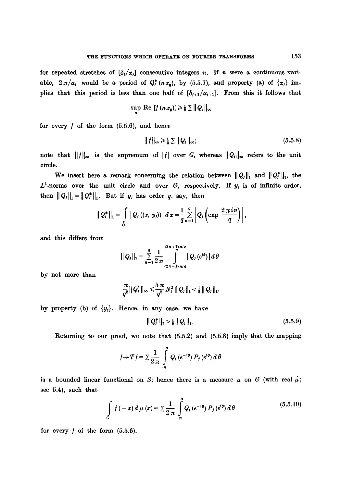for repeated stretches of  $\left[\delta_i/\alpha_j\right]$  consecutive integers n. If n were a continuous variable,  $2\pi/\alpha_j$  would be a period of  $Q_i^*(n x_0)$ , by (5.5.7), and property (a) of  $\{\alpha_j\}$  implies that this period is less than one half of  $[\delta_{j+1}/\alpha_{j+1}]$ . From this it follows that

$$
\sup \text{ Re } [f(n x_0)] \geq \frac{1}{2} \sum ||Q_j||_{\infty}
$$

for every  $f$  of the form  $(5.5.6)$ , and hence

$$
||f||_{\infty} \geqslant \frac{1}{2} \sum ||Q_j||_{\infty};\tag{5.5.8}
$$

note that  $||f||_{\infty}$  is the supremum of |f| over G, whereas  $||Q_j||_{\infty}$  refers to the unit circle.

We insert here a remark concerning the relation between  $||Q_j||_1$  and  $||Q_j^*||_1$ , the  $L^1$ -norms over the unit circle and over G, respectively. If  $y_j$  is of infinite order, then  $||Q_j||_1 = ||Q_j^*||_1$ . But if  $y_j$  has order q, say, then

$$
||Q_{j}^{*}||_{1} = \int_{G} |Q_{j} (x, y_{j})| dx = \frac{1}{q} \sum_{n=1}^{q} |Q_{j} (\exp \frac{2 \pi i n}{q})|,
$$

and this differs from

$$
||Q_j||_1 = \sum_{n=1}^q \frac{1}{2 \pi} \int_{(2n-1)\pi/q}^{(2n+1)\pi/q} |Q_j(e^{i\theta})| d\theta
$$

by not more than

$$
\frac{\pi}{q^2} ||Q'_f||_{\infty} \leqslant \frac{5 \pi}{q^2} N_f^2 ||Q_f||_1 < \tfrac{1}{2} ||Q_f||_1,
$$

by property (b) of  $\{y_i\}$ . Hence, in any case, we have

$$
\|Q_j^*\|_1 > \tfrac{1}{2} \|Q_j\|_1. \tag{5.5.9}
$$

Returning to our proof, we note that (5.5.2) and (5.5.8) imply that the mapping

$$
f \rightarrow Tf = \sum \frac{1}{2 \pi} \int_{-\pi}^{\pi} Q_j(e^{-i\theta}) P_j(e^{i\theta}) d\theta
$$

is a bounded linear functional on S; hence there is a measure  $\mu$  on G (with real  $\mu$ ; see 5.4), such that

$$
\int_{G} f(-x) d \mu(x) = \sum \frac{1}{2 \pi} \int_{-\pi}^{\pi} Q_{j} (e^{-i\theta}) P_{j} (e^{i\theta}) d \theta
$$
\n(5.5.10)

for every  $f$  of the form  $(5.5.6)$ .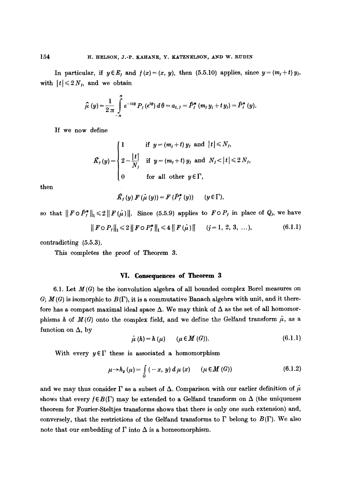In particular, if  $y \in E_j$  and  $f(x)=(x, y)$ , then (5.5.10) applies, since  $y=(m_j+t)y_j$ , with  $|t| \leq 2 N<sub>f</sub>$ , and we obtain

$$
\hat{\mu}(y) = \frac{1}{2 \pi} \int_{-\pi}^{\pi} e^{-it\theta} P_j(e^{i\theta}) d\theta = a_{t,j} = \hat{P}_j^*(m_j y_j + t y_j) = \hat{P}_j^*(y).
$$

If we now define

$$
\hat{K}_f(y) = \begin{cases}\n1 & \text{if } y = (m_j + t) y_j \text{ and } |t| \le N_f, \\
2 - \frac{|t|}{N_j} & \text{if } y = (m_j + t) y_j \text{ and } N_j < |t| \le 2 N_j, \\
0 & \text{for all other } y \in \Gamma,\n\end{cases}
$$

then

$$
\hat{K}_f(y) F(\hat{\mu}(y)) = F(\hat{P}_f^*(y)) \qquad (y \in \Gamma),
$$

so that  $||F \circ \hat{P}_j^*||_1 \le 2||F(\hat{\mu})||$ . Since (5.5.9) applies to  $F \circ P_j$  in place of  $Q_j$ , we have

$$
\| F \circ P_j \|_1 \leq 2 \| F \circ P_j^* \|_1 \leq 4 \| F(\mu) \| \qquad (j = 1, 2, 3, \ldots), \tag{6.1.1}
$$

contradicting (5.5.3).

This completes the proof of Theorem 3.

# VI. Consequences of Theorem 3

6.1. Let  $M(G)$  be the convolution algebra of all bounded complex Borel measures on  $G; M(G)$  is isomorphic to  $B(\Gamma)$ , it is a commutative Banach algebra with unit, and it therefore has a compact maximal ideal space  $\Delta$ . We may think of  $\Delta$  as the set of all homomorphisms h of  $M(G)$  onto the complex field, and we define the Gelfand transform  $\hat{\mu}$ , as a function on  $\Delta$ , by

$$
\hat{\mu}(h) = h(\mu) \qquad (\mu \in M(G)). \tag{6.1.1}
$$

With every  $y \in \Gamma$  these is associated a homomorphism

$$
\mu \rightarrow h_{\nu}(\mu) = \int\limits_{G} \left( -x, y \right) d\mu(x) \qquad (\mu \in M(G)) \tag{6.1.2}
$$

and we may thus consider  $\Gamma$  as a subset of  $\Delta$ . Comparison with our earlier definition of  $\mu$ shows that every  $f \in B(\Gamma)$  may be extended to a Gelfand transform on  $\Delta$  (the uniqueness theorem for Fourier-Steltjes transforms shows that there is only one such extension) and, conversely, that the restrictions of the Gelfand transforms to  $\Gamma$  belong to  $B(\Gamma)$ . We also note that our embedding of  $\Gamma$  into  $\Delta$  is a homeomorphism.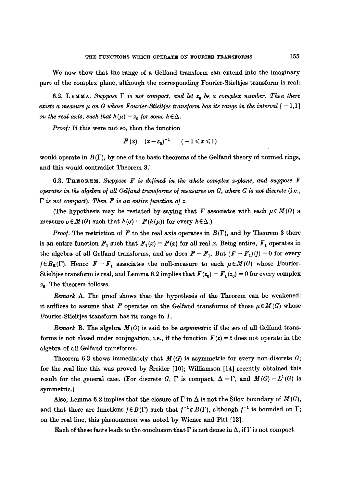We now show that the range of a Gelfand transform can extend into the imaginary part of the complex plane, although the corresponding Fourier-Stieltjes transform is real:

6.2. LEMMA. Suppose  $\Gamma$  is not compact, and let  $z_0$  be a complex number. Then there *exists a measure*  $\mu$  *on G whose Fourier-Stieltjes transform has its range in the interval*  $[-1,1]$ *on the real axis, such that*  $h(\mu) = z_0$  *for some h*  $\in \Delta$ .

*Proo/:* If this were not so, then the function

$$
F(x)=(x-z_0)^{-1} \qquad (-1\leqslant x\leqslant 1)
$$

would operate in  $B(\Gamma)$ , by one of the basic theorems of the Gelfand theory of normed rings, and this would contradict Theorem 3.

6.3. THEOREM. Suppose F is defined in the whole complex z-plane, and suppose F *operates in the algebra of all Gelfand transforms of measures on G, where G is not discrete* (i.e.,  $\Gamma$  is not compact). Then **F** is an entire function of z.

(The hypothesis may be restated by saying that  $F$  associates with each  $\mu \in M(G)$  a measure  $\sigma \in M(G)$  such that  $h(\sigma) = F(h(\mu))$  for every  $h \in \Delta$ .)

*Proof.* The restriction of F to the real axis operates in  $B(\Gamma)$ , and by Theorem 3 there is an entire function  $F_1$  such that  $F_1(x) = F(x)$  for all real x. Being entire,  $F_1$  operates in the algebra of all Gelfand transforms, and so does  $F - F_1$ . But  $(F - F_1)(f) = 0$  for every  $f \in B_R(\Gamma)$ . Hence  $F-F_1$  associates the null-measure to each  $\mu \in M(G)$  whose Fourier-Stieltjes transform is real, and Lemma 6.2 implies that  $F(z_0) - F_1(z_0) = 0$  for every complex  $z_0$ . The theorem follows.

*Remark* A. The proof shows that the hypothesis of the Theorem can be weakened: it suffices to assume that F operates on the Gelfand transforms of those  $\mu \in M(G)$  whose Fourier-Stieltjes transform has its range in I.

*Remark* B. The algebra  $M(G)$  is said to be *asymmetric* if the set of all Gelfand transforms is not closed under conjugation, i.e., if the function  $F(z) = \overline{z}$  does not operate in the algebra of all Gelfand transforms.

Theorem 6.3 shows immediately that  $M(G)$  is asymmetric for every non-discrete  $G$ ; for the real line this was proved by Sreider  $[10]$ ; Williamson  $[14]$  recently obtained this result for the general case. (For discrete G,  $\Gamma$  is compact,  $\Delta = \Gamma$ , and  $M(G) = L^1(G)$  is symmetric.)

Also, Lemma 6.2 implies that the closure of  $\Gamma$  in  $\Delta$  is not the Silov boundary of  $M(G)$ , and that there are functions  $f \in B(\Gamma)$  such that  $f^{-1} \notin B(\Gamma)$ , although  $f^{-1}$  is bounded on  $\Gamma$ ; on the real line, this phenomenon was noted by Wiener and Pitt [13].

Each of these facts leads to the conclusion that  $\Gamma$  is not dense in  $\Delta$ , if  $\Gamma$  is not compact.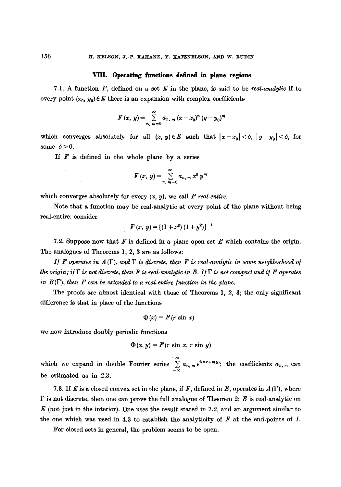## VIII. Operating **functions defined in plane regions**

7.1. A function F, defined on a set E in the plane, is said to be *real-analytic if* to every point  $(x_0, y_0) \in E$  there is an expansion with complex coefficients

$$
F(x, y) = \sum_{n, m=0}^{\infty} a_{n, m} (x - x_0)^n (y - y_0)^m
$$

which converges absolutely for all  $(x, y) \in E$  such that  $|x-x_0| < \delta$ ,  $|y-y_0| < \delta$ , for some  $\delta > 0$ .

If  $F$  is defined in the whole plane by a series

$$
F(x, y) = \sum_{n, m=0}^{\infty} a_{n, m} x^n y^m
$$

which converges absolutely for every  $(x, y)$ , we call *F real-entire.* 

Note that a function may be real-analytic at every point of the plane without being real-entire: consider

$$
F(x, y) = \{(1+x^2)(1+y^2)\}^{-1}
$$

7.2. Suppose now that  $\mathbf{F}$  is defined in a plane open set  $\mathbf{E}$  which contains the origin. The analogues of Theorems 1, 2, 3 are as follows:

If F operates in  $A(\Gamma)$ , and  $\Gamma$  is discrete, then F is real-analytic in some neighborhood of *the origin; if*  $\Gamma$  *is not discrete, then F is real-analytic in E. If*  $\Gamma$  *is not compact and if* F operates *in*  $B(\Gamma)$ *, then F can be extended to a real-entire function in the plane.* 

The proofs are almost identical with those of Theorems 1, 2, 3; the only significant difference is that in place of the functions

$$
\Phi(x) = F(r \sin x)
$$

we now introduce doubly periodic functions

$$
\Phi(x, y) = F(r \sin x, r \sin y)
$$

which we expand in double Fourier series  $\sum_{-\infty}^{\infty} a_{n,m} e^{i(nx+m y)}$ ; the coefficients  $a_{n,m}$  can be estimated as in 2.3.

7.3. If E is a closed convex set in the plane, if F, defined in E, operates in  $A(\Gamma)$ , where  $\Gamma$  is not discrete, then one can prove the full analogue of Theorem 2: E is real-analytic on  $E$  (not just in the interior). One uses the result stated in 7.2, and an argument similar to the one which was used in 4.3 to establish the analyticity of  $F$  at the end-points of  $I$ .

For closed sets in general, the problem seems to be open.